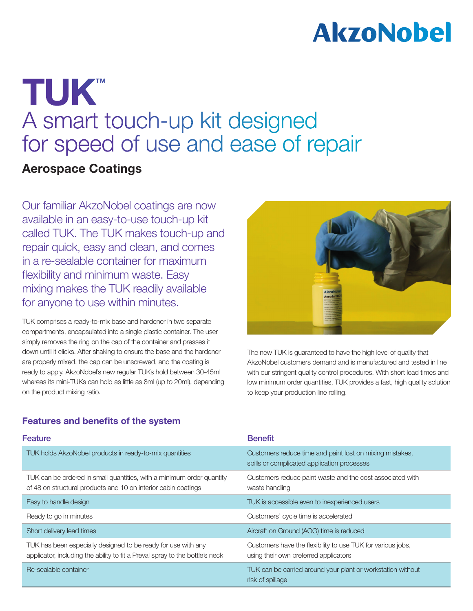# **AkzoNobel**

## TUK™ A smart touch-up kit designed for speed of use and ease of repair

## Aerospace Coatings

Our familiar AkzoNobel coatings are now available in an easy-to-use touch-up kit called TUK. The TUK makes touch-up and repair quick, easy and clean, and comes in a re-sealable container for maximum flexibility and minimum waste. Easy mixing makes the TUK readily available for anyone to use within minutes.

TUK comprises a ready-to-mix base and hardener in two separate compartments, encapsulated into a single plastic container. The user simply removes the ring on the cap of the container and presses it down until it clicks. After shaking to ensure the base and the hardener are properly mixed, the cap can be unscrewed, and the coating is ready to apply. AkzoNobel's new regular TUKs hold between 30-45ml whereas its mini-TUKs can hold as little as 8ml (up to 20ml), depending on the product mixing ratio.



The new TUK is guaranteed to have the high level of quality that AkzoNobel customers demand and is manufactured and tested in line with our stringent quality control procedures. With short lead times and low minimum order quantities, TUK provides a fast, high quality solution to keep your production line rolling.

### Features and benefits of the system

| <b>Feature</b>                                                                                                                                | <b>Benefit</b>                                                                                          |
|-----------------------------------------------------------------------------------------------------------------------------------------------|---------------------------------------------------------------------------------------------------------|
| TUK holds AkzoNobel products in ready-to-mix quantities                                                                                       | Customers reduce time and paint lost on mixing mistakes,<br>spills or complicated application processes |
| TUK can be ordered in small quantities, with a minimum order quantity<br>of 48 on structural products and 10 on interior cabin coatings       | Customers reduce paint waste and the cost associated with<br>waste handling                             |
| Easy to handle design                                                                                                                         | TUK is accessible even to inexperienced users                                                           |
| Ready to go in minutes                                                                                                                        | Customers' cycle time is accelerated                                                                    |
| Short delivery lead times                                                                                                                     | Aircraft on Ground (AOG) time is reduced                                                                |
| TUK has been especially designed to be ready for use with any<br>applicator, including the ability to fit a Preval spray to the bottle's neck | Customers have the flexibility to use TUK for various jobs,<br>using their own preferred applicators    |
| Re-sealable container                                                                                                                         | TUK can be carried around your plant or workstation without<br>risk of spillage                         |